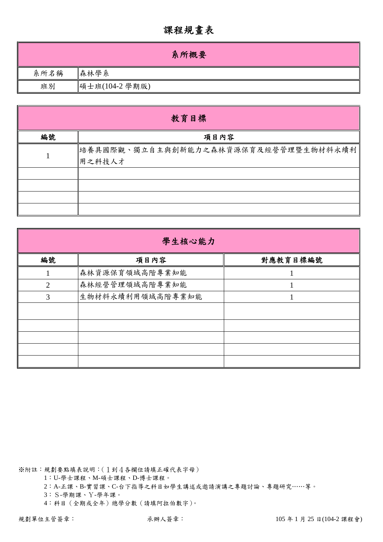## 課程規畫表

|      | 系所概要           |
|------|----------------|
| 系所名稱 | 森林學系           |
| 班別   | 碩士班(104-2 學期版) |

| 教育目標 |                                                |  |  |  |  |  |  |  |
|------|------------------------------------------------|--|--|--|--|--|--|--|
| 編號   | 項目內容                                           |  |  |  |  |  |  |  |
|      | 培養具國際觀、獨立自主與創新能力之森林資源保育及經營管理暨生物材料永續利<br>用之科技人才 |  |  |  |  |  |  |  |
|      |                                                |  |  |  |  |  |  |  |
|      |                                                |  |  |  |  |  |  |  |

| 學生核心能力 |                  |          |  |  |  |  |  |
|--------|------------------|----------|--|--|--|--|--|
| 編號     | 項目內容             | 對應教育目標編號 |  |  |  |  |  |
|        | 森林資源保育領域高階專業知能   |          |  |  |  |  |  |
| 2      | 森林經營管理領域高階專業知能   |          |  |  |  |  |  |
| 3      | 生物材料永續利用領域高階專業知能 |          |  |  |  |  |  |
|        |                  |          |  |  |  |  |  |
|        |                  |          |  |  |  |  |  |
|        |                  |          |  |  |  |  |  |
|        |                  |          |  |  |  |  |  |
|        |                  |          |  |  |  |  |  |

※附註:規劃要點填表說明:(1到4各欄位請填正確代表字母)

1:U-學士課程、M-碩士課程、D-博士課程。

2:A-正課、B-實習課、C-台下指導之科目如學生講述或邀請演講之專題討論、專題研究……等。

3:S-學期課、Y-學年課。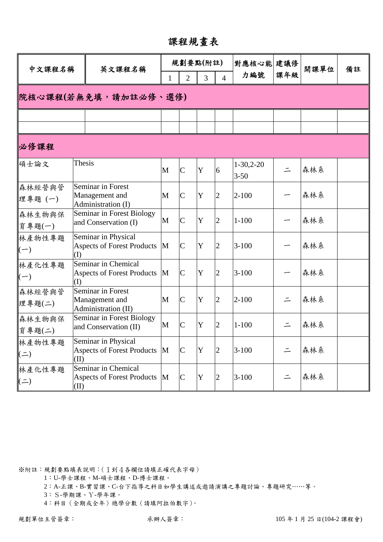課程規畫表

| 中文課程名稱               |        | 英文課程名稱                                                     |              | 規劃要點(附註)       |                |                | 對應核心能 建議修               |          | 開課單位 | 備註 |  |  |
|----------------------|--------|------------------------------------------------------------|--------------|----------------|----------------|----------------|-------------------------|----------|------|----|--|--|
|                      |        |                                                            | 1            | $\overline{2}$ | $\overline{3}$ | $\overline{4}$ | 力編號                     | 課年級      |      |    |  |  |
| 院核心課程(若無免填,請加註必修、選修) |        |                                                            |              |                |                |                |                         |          |      |    |  |  |
|                      |        |                                                            |              |                |                |                |                         |          |      |    |  |  |
| 必修課程                 |        |                                                            |              |                |                |                |                         |          |      |    |  |  |
| 碩士論文                 | Thesis |                                                            | M            | $\overline{C}$ | Y              | 6              | $1-30,2-20$<br>$3 - 50$ | $\equiv$ | 森林系  |    |  |  |
| 森林經營與管<br>理專題(一)     |        | Seminar in Forest<br>Management and<br>Administration (I)  | $\mathbf{M}$ | $\overline{C}$ | $\mathbf Y$    | $\overline{2}$ | $2 - 100$               |          | 森林系  |    |  |  |
| 森林生物與保<br>育專題(一)     |        | Seminar in Forest Biology<br>and Conservation (I)          | M            | $\overline{C}$ | Y              | $\overline{2}$ | $1 - 100$               |          | 森林系  |    |  |  |
| 林產物性專題<br>$(-)$      | (I)    | Seminar in Physical<br><b>Aspects of Forest Products</b>   | M            | $\overline{C}$ | Y              | $\overline{2}$ | $3 - 100$               |          | 森林系  |    |  |  |
| 林產化性專題<br>$(-)$      | (I)    | Seminar in Chemical<br><b>Aspects of Forest Products</b>   | M            | $\overline{C}$ | Y              | $\overline{2}$ | $3 - 100$               |          | 森林系  |    |  |  |
| 森林經營與管<br>理專題(二)     |        | Seminar in Forest<br>Management and<br>Administration (II) | M            | $\overline{C}$ | Y              | $\overline{2}$ | $2 - 100$               | $\equiv$ | 森林系  |    |  |  |
| 森林生物與保<br>育專題(二)     |        | Seminar in Forest Biology<br>and Conservation (II)         | M            | $\overline{C}$ | $\mathbf Y$    | $\overline{2}$ | $1 - 100$               | $\equiv$ | 森林系  |    |  |  |
| 林產物性專題<br>$($ = $)$  | (II)   | Seminar in Physical<br><b>Aspects of Forest Products</b>   | M            | $\overline{C}$ | $\mathbf Y$    | $\overline{c}$ | $3 - 100$               | $\equiv$ | 森林系  |    |  |  |
| 林產化性專題<br>$($ = $)$  | (II)   | Seminar in Chemical<br><b>Aspects of Forest Products</b>   | M            | $\overline{C}$ | $\mathbf Y$    | $\overline{2}$ | $3 - 100$               |          | 森林系  |    |  |  |

1:U-學士課程、M-碩士課程、D-博士課程。

2:A-正課、B-實習課、C-台下指導之科目如學生講述或邀請演講之專題討論、專題研究……等。

3:S-學期課、Y-學年課。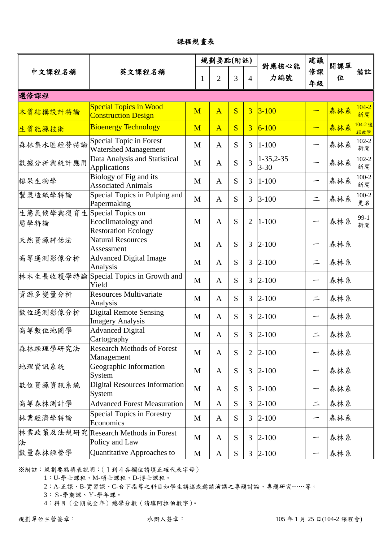課程規畫表

|                   |                                                                       |              | 規劃要點(附註)       |                         |                | 對應核心能                        | 建議       | 開課單 |                 |
|-------------------|-----------------------------------------------------------------------|--------------|----------------|-------------------------|----------------|------------------------------|----------|-----|-----------------|
| 中文課程名稱            | 英文課程名稱                                                                | 1            | $\overline{2}$ | 3                       | $\overline{4}$ | 力編號                          | 修課<br>年級 | 位   | 備註              |
| 選修課程              |                                                                       |              |                |                         |                |                              |          |     |                 |
| 木質結構設計特論          | <b>Special Topics in Wood</b><br><b>Construction Design</b>           | M            | $\overline{A}$ | $\overline{\mathbf{S}}$ | $\overline{3}$ | $3 - 100$                    |          | 森林系 | $104 - 2$<br>新開 |
| 生質能源技術            | <b>Bioenergy Technology</b>                                           | M            | $\overline{A}$ | S                       | $\overline{3}$ | $6 - 100$                    |          | 森林系 | 104-2 遠<br>距教學  |
| 森林集水區經營特論         | Special Topic in Forest<br><b>Watershed Management</b>                | M            | $\mathbf{A}$   | S                       | 3              | $1 - 100$                    |          | 森林系 | $102 - 2$<br>新開 |
| 數據分析與統計應用         | Data Analysis and Statistical<br>Applications                         | $\mathbf{M}$ | $\mathbf{A}$   | S                       | $\overline{3}$ | $1 - 35, 2 - 35$<br>$3 - 30$ |          | 森林系 | $102 - 2$<br>新開 |
| 榕果生物學             | Biology of Fig and its<br><b>Associated Animals</b>                   | M            | $\mathbf{A}$   | S                       | 3              | $1 - 100$                    |          | 森林系 | $100 - 2$<br>新開 |
| 製漿造紙學特論           | Special Topics in Pulping and<br>Papermaking                          | M            | $\mathbf{A}$   | S                       | 3              | $3 - 100$                    | $\equiv$ | 森林系 | $100 - 2$<br>更名 |
| 生態氣候學與復育生<br>態學特論 | Special Topics on<br>Ecoclimatology and<br><b>Restoration Ecology</b> | M            | $\overline{A}$ | S                       | $\overline{2}$ | $1 - 100$                    |          | 森林系 | $99-1$<br>新開    |
| 天然資源評估法           | <b>Natural Resources</b><br>Assessment                                | M            | $\mathbf{A}$   | S                       | 3              | $2 - 100$                    |          | 森林系 |                 |
| 高等遙測影像分析          | <b>Advanced Digital Image</b><br>Analysis                             | M            | $\mathbf{A}$   | S                       | 3              | $2 - 100$                    | $\equiv$ | 森林系 |                 |
| 林木生長收穫學特論         | Special Topics in Growth and<br>Yield                                 | $\mathbf{M}$ | $\mathbf{A}$   | S                       | 3              | $2 - 100$                    |          | 森林系 |                 |
| 資源多變量分析           | <b>Resources Multivariate</b><br>Analysis                             | M            | $\mathbf{A}$   | S                       | 3              | $2 - 100$                    | $\equiv$ | 森林系 |                 |
| 數位遙測影像分析          | <b>Digital Remote Sensing</b><br><b>Imagery Analysis</b>              | M            | $\mathbf{A}$   | S                       | 3              | $2 - 100$                    |          | 森林系 |                 |
| 高等數位地圖學           | <b>Advanced Digital</b><br>Cartography                                | M            | $\mathbf{A}$   | S                       | 3              | $2 - 100$                    | $\equiv$ | 森林系 |                 |
| 森林經理學研究法          | <b>Research Methods of Forest</b><br>Management                       | M            | $\mathbf{A}$   | S                       | $\overline{2}$ | $2 - 100$                    |          | 森林系 |                 |
| 地理資訊系統            | Geographic Information<br>System                                      | M            | $\mathbf{A}$   | S                       | 3              | $2 - 100$                    | -        | 森林系 |                 |
| 數位資源資訊系統          | <b>Digital Resources Information</b><br>System                        | M            | A              | ${\bf S}$               | 3              | $2 - 100$                    |          | 森林系 |                 |
| 高等森林測計學           | <b>Advanced Forest Measuration</b>                                    | M            | $\mathbf{A}$   | S                       | 3              | $2 - 100$                    | $\equiv$ | 森林系 |                 |
| 林業經濟學特論           | <b>Special Topics in Forestry</b><br>Economics                        | M            | A              | S                       | 3              | $2 - 100$                    | ∽        | 森林系 |                 |
| 法                 | 林業政策及法規研究  Research Methods in Forest<br>Policy and Law               | M            | $\mathbf{A}$   | ${\bf S}$               | 3              | $2 - 100$                    |          | 森林系 |                 |
| 數量森林經營學           | Quantitative Approaches to                                            | $\mathbf{M}$ | $\mathbf A$    | S                       | 3              | $2 - 100$                    |          | 森林系 |                 |

1:U-學士課程、M-碩士課程、D-博士課程。

2:A-正課、B-實習課、C-台下指導之科目如學生講述或邀請演講之專題討論、專題研究……等。

3:S-學期課、Y-學年課。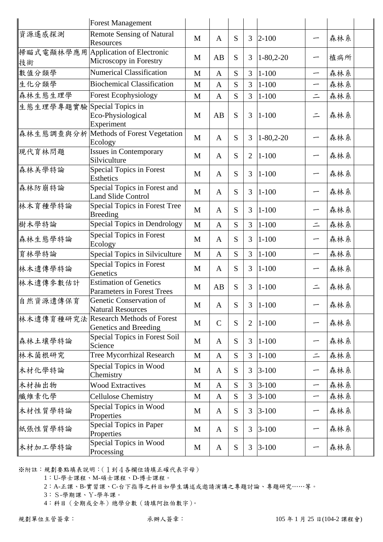|                 | <b>Forest Management</b>                                    |              |              |           |                |                  |                          |     |
|-----------------|-------------------------------------------------------------|--------------|--------------|-----------|----------------|------------------|--------------------------|-----|
| 資源遙感探測          | <b>Remote Sensing of Natural</b><br>Resources               | M            | $\mathbf{A}$ | S         | $\overline{3}$ | $2 - 100$        | -                        | 森林系 |
| 掃瞄式電顯林學應用<br>技術 | <b>Application of Electronic</b><br>Microscopy in Forestry  | M            | AB           | S         | 3              | $1 - 80, 2 - 20$ | —                        | 植病所 |
| 數值分類學           | <b>Numerical Classification</b>                             | M            | $\mathbf{A}$ | S         | $\overline{3}$ | $1 - 100$        | —                        | 森林系 |
| 生化分類學           | <b>Biochemical Classification</b>                           | M            | $\mathbf{A}$ | S         | $\overline{3}$ | $1 - 100$        | —                        | 森林系 |
| 森林生態生理學         | <b>Forest Ecophysiology</b>                                 | M            | $\mathbf{A}$ | S         | 3              | $1 - 100$        | $\equiv$                 | 森林系 |
| 生態生理學專題實驗       | Special Topics in<br>Eco-Physiological<br>Experiment        | M            | AB           | S         | 3              | $1 - 100$        | $\equiv$                 | 森林系 |
| 森林生態調查與分析       | Methods of Forest Vegetation<br>Ecology                     | $\mathbf{M}$ | $\mathbf{A}$ | S         | 3              | $1 - 80, 2 - 20$ |                          | 森林系 |
| 現代育林問題          | <b>Issues in Contemporary</b><br>Silviculture               | M            | $\mathbf{A}$ | S         | $\overline{2}$ | $1 - 100$        | -                        | 森林系 |
| 森林美學特論          | <b>Special Topics in Forest</b><br>Esthetics                | M            | $\mathbf{A}$ | S         | 3              | $1 - 100$        | ∽                        | 森林系 |
| 森林防崩特論          | Special Topics in Forest and<br><b>Land Slide Control</b>   | M            | $\mathbf{A}$ | S         | 3              | $1 - 100$        | —                        | 森林系 |
| 林木育種學特論         | Special Topics in Forest Tree<br><b>Breeding</b>            | M            | $\mathbf{A}$ | S         | 3              | $1 - 100$        | —                        | 森林系 |
| 樹木學特論           | Special Topics in Dendrology                                | M            | $\mathbf{A}$ | S         | $\overline{3}$ | $1 - 100$        | $\equiv$                 | 森林系 |
| 森林生態學特論         | <b>Special Topics in Forest</b><br>Ecology                  | M            | $\mathbf{A}$ | S         | 3              | $1 - 100$        | —                        | 森林系 |
| 育林學特論           | Special Topics in Silviculture                              | $\mathbf{M}$ | $\mathbf{A}$ | S         | 3              | $1 - 100$        | $\overline{\phantom{0}}$ | 森林系 |
| 林木遺傳學特論         | <b>Special Topics in Forest</b><br>Genetics                 | M            | $\mathbf{A}$ | S         | 3              | $1 - 100$        | —                        | 森林系 |
| 林木遺傳參數估計        | <b>Estimation of Genetics</b><br>Parameters in Forest Trees | M            | AB           | S         | 3              | $1 - 100$        | $\equiv$                 | 森林系 |
| 自然資源遺傳保育        | Genetic Conservation of<br><b>Natural Resources</b>         | M            | $\mathbf{A}$ | S         | 3 <sup>7</sup> | $1 - 100$        |                          | 森林系 |
| 林木遺傳育種研究法       | <b>Research Methods of Forest</b><br>Genetics and Breeding  | M            | $\mathbf C$  | S         | $\overline{2}$ | $1 - 100$        | $\overline{\phantom{0}}$ | 森林系 |
| 森林土壤學特論         | Special Topics in Forest Soil<br>Science                    | M            | A            | S         | 3              | $1 - 100$        |                          | 森林系 |
| 林木菌根研究          | <b>Tree Mycorrhizal Research</b>                            | M            | $\mathbf{A}$ | ${\bf S}$ | 3              | $1 - 100$        | $\equiv$                 | 森林系 |
| 木材化學特論          | Special Topics in Wood<br>Chemistry                         | M            | A            | S         | 3              | $3 - 100$        | $\overline{\phantom{0}}$ | 森林系 |
| 木材抽出物           | <b>Wood Extractives</b>                                     | M            | $\mathbf{A}$ | S         | 3              | $3 - 100$        | —                        | 森林系 |
| 纖維素化學           | <b>Cellulose Chemistry</b>                                  | M            | $\mathbf{A}$ | S         | 3              | $3 - 100$        | —                        | 森林系 |
| 木材性質學特論         | Special Topics in Wood<br>Properties                        | M            | $\mathbf{A}$ | S         | 3              | $3 - 100$        | —                        | 森林系 |
| 紙張性質學特論         | Special Topics in Paper<br>Properties                       | M            | A            | S         | 3              | $3 - 100$        |                          | 森林系 |
| 木材加工學特論         | Special Topics in Wood<br>Processing                        | M            | A            | S         | 3              | $3 - 100$        | —                        | 森林系 |

1:U-學士課程、M-碩士課程、D-博士課程。

2:A-正課、B-實習課、C-台下指導之科目如學生講述或邀請演講之專題討論、專題研究……等。

3:S-學期課、Y-學年課。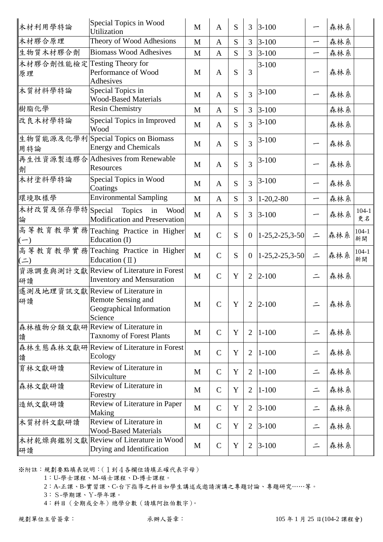| 木材利用學特論                | Special Topics in Wood<br>Utilization                                                          | M            | $\mathbf{A}$  | S           | 3              | $3 - 100$          |          | 森林系 |                 |
|------------------------|------------------------------------------------------------------------------------------------|--------------|---------------|-------------|----------------|--------------------|----------|-----|-----------------|
| 木材膠合原理                 | Theory of Wood Adhesions                                                                       | M            | A             | S           | 3              | $3 - 100$          | —        | 森林系 |                 |
| 生物質木材膠合劑               | <b>Biomass Wood Adhesives</b>                                                                  | M            | $\mathbf{A}$  | S           | $\mathfrak{Z}$ | $3 - 100$          | —        | 森林系 |                 |
| 木材膠合劑性能檢定<br>原理        | Testing Theory for<br>Performance of Wood<br>Adhesives                                         | M            | $\mathbf{A}$  | S           | $\overline{3}$ | $3 - 100$          |          | 森林系 |                 |
| 木質材料學特論                | Special Topics in<br><b>Wood-Based Materials</b>                                               | M            | $\mathbf{A}$  | S           | $\overline{3}$ | $3 - 100$          |          | 森林系 |                 |
| 樹脂化學                   | <b>Resin Chemistry</b>                                                                         | M            | $\mathbf{A}$  | S           | 3              | $3 - 100$          |          | 森林系 |                 |
| 改良木材學特論                | Special Topics in Improved<br>Wood                                                             | M            | $\mathbf{A}$  | S           | $\overline{3}$ | $3 - 100$          |          | 森林系 |                 |
| 用特論                    | 生物質能源及化學利Special Topics on Biomass<br><b>Energy and Chemicals</b>                              | M            | $\mathbf{A}$  | S           | 3              | $3 - 100$          |          | 森林系 |                 |
| 劑                      | 再生性資源製造膠合Adhesives from Renewable<br>Resources                                                 | M            | $\mathbf{A}$  | S           | 3              | $3 - 100$          | —        | 森林系 |                 |
| 木材塗料學特論                | Special Topics in Wood<br>Coatings                                                             | M            | $\mathbf{A}$  | S           | $\overline{3}$ | $3 - 100$          |          | 森林系 |                 |
| 環境取樣學                  | <b>Environmental Sampling</b>                                                                  | M            | $\mathbf{A}$  | S           | 3              | $1-20,2-80$        | —        | 森林系 |                 |
| 木材改質及保存學特 Special<br>論 | Topics<br>in<br>Wood<br><b>Modification and Preservation</b>                                   | $\mathbf{M}$ | $\mathbf{A}$  | S           | 3              | $3 - 100$          |          | 森林系 | $104 - 1$<br>更名 |
| $(-)$                  | 高等教育教學實務 Teaching Practice in Higher<br>Education (I)                                          | $\mathbf{M}$ | $\mathcal{C}$ | S           | $\mathbf{0}$   | $1-25, 2-25, 3-50$ | $\equiv$ | 森林系 | $104 - 1$<br>新開 |
| $($ ニ $)$              | 高等教育教學實務 Teaching Practice in Higher<br>Education $(\mathbb{I})$                               | $\mathbf{M}$ | $\mathcal{C}$ | S           | $\overline{0}$ | $1-25,2-25,3-50$   | $\equiv$ | 森林系 | $104 - 1$<br>新開 |
| 研讀                     | 資源調查與測計文獻 Review of Literature in Forest<br><b>Inventory and Mensuration</b>                   | M            | $\mathcal{C}$ | Y           | $\overline{2}$ | $2 - 100$          | $\equiv$ | 森林系 |                 |
| 研讀                     | 遙測及地理資訊文獻 Review of Literature in<br>Remote Sensing and<br>Geographical Information<br>Science | M            | $\mathcal{C}$ | Y           | 2              | $2 - 100$          |          | 森林系 |                 |
| 讀                      | 森林植物分類文獻研 Review of Literature in<br><b>Taxnomy of Forest Plants</b>                           | M            | $\mathcal{C}$ | Y           | $\overline{2}$ | $1 - 100$          | $\equiv$ | 森林系 |                 |
| 讀                      | 森林生態森林文獻研 Review of Literature in Forest<br>Ecology                                            | M            | $\mathcal{C}$ | Y           | $\overline{2}$ | $1 - 100$          | $\equiv$ | 森林系 |                 |
| 育林文獻研讀                 | Review of Literature in<br>Silviculture                                                        | M            | $\mathcal{C}$ | Y           | $\overline{2}$ | $1 - 100$          | $\equiv$ | 森林系 |                 |
| 森林文獻研讀                 | Review of Literature in<br>Forestry                                                            | M            | $\mathcal{C}$ | Y           | $\overline{2}$ | $1 - 100$          | $\equiv$ | 森林系 |                 |
| 造紙文獻研讀                 | Review of Literature in Paper<br>Making                                                        | $\mathbf{M}$ | $\mathbf C$   | $\mathbf Y$ | $\overline{2}$ | $3 - 100$          | $\equiv$ | 森林系 |                 |
| 木質材料文獻研讀               | Review of Literature in<br><b>Wood-Based Materials</b>                                         | M            | $\mathcal{C}$ | $\mathbf Y$ | $\overline{2}$ | $3 - 100$          | $\equiv$ | 森林系 |                 |
| 研讀                     | 木材乾燥與鑑別文獻 Review of Literature in Wood<br>Drying and Identification                            | M            | $\mathcal{C}$ | Y           | 2              | $3 - 100$          | $\equiv$ | 森林系 |                 |

1:U-學士課程、M-碩士課程、D-博士課程。

2:A-正課、B-實習課、C-台下指導之科目如學生講述或邀請演講之專題討論、專題研究……等。

3:S-學期課、Y-學年課。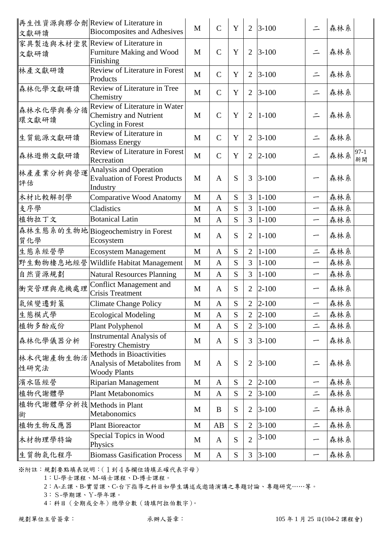| 文獻研讀                            | 再生性資源與膠合劑 Review of Literature in<br><b>Biocomposites and Adhesives</b>                    | M            | $\mathbf C$   | Y           | $\overline{2}$ | $3 - 100$ | $\equiv$ | 森林系                   |
|---------------------------------|--------------------------------------------------------------------------------------------|--------------|---------------|-------------|----------------|-----------|----------|-----------------------|
| 文獻研讀                            | 家具製造與木材塗裝 Review of Literature in<br>Furniture Making and Wood<br>Finishing                | M            | $\mathcal{C}$ | Y           | $\overline{2}$ | $3 - 100$ | $\equiv$ | 森林系                   |
| 林產文獻研讀                          | Review of Literature in Forest<br>Products                                                 | $\mathbf{M}$ | $\mathcal{C}$ | Y           | $\overline{2}$ | $3 - 100$ | $\equiv$ | 森林系                   |
| 森林化學文獻研讀                        | Review of Literature in Tree<br>Chemistry                                                  | M            | $\mathcal{C}$ | Y           | $\overline{2}$ | $3 - 100$ | $\equiv$ | 森林系                   |
| 森林水化學與養分循<br>環文獻研讀              | Review of Literature in Water<br><b>Chemistry and Nutrient</b><br><b>Cycling in Forest</b> | M            | $\mathbf C$   | Y           | $\overline{2}$ | $1 - 100$ | $\equiv$ | 森林系                   |
| 生質能源文獻研讀                        | Review of Literature in<br><b>Biomass Energy</b>                                           | M            | $\mathcal{C}$ | Y           | $\overline{2}$ | $3 - 100$ | $\equiv$ | 森林系                   |
| 森林遊樂文獻研讀                        | Review of Literature in Forest<br>Recreation                                               | $\mathbf{M}$ | $\mathbf C$   | $\mathbf Y$ | $\overline{2}$ | $2 - 100$ | $\equiv$ | $97 - 1$<br>森林系<br>新開 |
| 林產產業分析與營運<br>評估                 | Analysis and Operation<br><b>Evaluation of Forest Products</b><br>Industry                 | M            | $\mathbf{A}$  | S           | 3              | $3 - 100$ |          | 森林系                   |
| 木材比較解剖學                         | <b>Comparative Wood Anatomy</b>                                                            | M            | $\mathbf{A}$  | S           | 3              | $1 - 100$ | —        | 森林系                   |
| 支序學                             | Cladistics                                                                                 | M            | $\mathbf{A}$  | S           | 3              | $1 - 100$ | —        | 森林系                   |
| 植物拉丁文                           | <b>Botanical Latin</b>                                                                     | M            | $\mathbf{A}$  | S           | $\overline{3}$ | $1 - 100$ | —        | 森林系                   |
| 質化學                             | 森林生態系的生物地 Biogeochemistry in Forest<br>Ecosystem                                           | M            | $\mathbf{A}$  | S           | $\overline{2}$ | $1 - 100$ | -        | 森林系                   |
| 生態系經營學                          | <b>Ecosystem Management</b>                                                                | M            | $\mathbf{A}$  | S           | $\overline{2}$ | $1 - 100$ | $\equiv$ | 森林系                   |
| 野生動物棲息地經營                       | Wildlife Habitat Management                                                                | M            | $\mathbf{A}$  | S           | 3              | $1 - 100$ | —        | 森林系                   |
| 自然資源規劃                          | <b>Natural Resources Planning</b>                                                          | M            | $\mathbf{A}$  | S           | 3              | $1 - 100$ | —        | 森林系                   |
| 衝突管理與危機處理                       | <b>Conflict Management and</b><br><b>Crisis Treatment</b>                                  | M            | A             | S           | $\overline{2}$ | $2 - 100$ | ∽        | 森林系                   |
| 氣候變遷對策                          | <b>Climate Change Policy</b>                                                               | M            | $\mathbf{A}$  | S           | $\overline{2}$ | $2 - 100$ | —        | 森林系                   |
| 生態模式學                           | <b>Ecological Modeling</b>                                                                 | M            | A             | S           | 2              | $2 - 100$ | $\equiv$ | 森林系                   |
| 植物多酚成份                          | Plant Polyphenol                                                                           | M            | $\mathbf{A}$  | S           | $\overline{2}$ | $3 - 100$ | $\equiv$ | 森林系                   |
| 森林化學儀器分析                        | <b>Instrumental Analysis of</b><br><b>Forestry Chemistry</b>                               | M            | $\mathbf{A}$  | S           | 3              | $3 - 100$ | —        | 森林系                   |
| 林木代謝產物生物活<br>性研究法               | Methods in Bioactivities<br>Analysis of Metabolites from<br><b>Woody Plants</b>            | M            | $\mathbf{A}$  | S           | $\overline{2}$ | $3 - 100$ | $\equiv$ | 森林系                   |
| 濱水區經營                           | <b>Riparian Management</b>                                                                 | M            | $\mathbf{A}$  | S           | $\overline{2}$ | $2 - 100$ | —        | 森林系                   |
| 植物代謝體學                          | <b>Plant Metabonomics</b>                                                                  | M            | $\mathbf{A}$  | S           | $\overline{2}$ | $3 - 100$ | $\equiv$ | 森林系                   |
| 植物代謝體學分析技 Methods in Plant<br>術 | Metabonomics                                                                               | M            | B             | S           | $\overline{2}$ | $3 - 100$ | $\equiv$ | 森林系                   |
| 植物生物反應器                         | <b>Plant Bioreactor</b>                                                                    | M            | AB            | ${\bf S}$   | $\overline{2}$ | $3 - 100$ | $\equiv$ | 森林系                   |
| 木材物理學特論                         | Special Topics in Wood<br>Physics                                                          | M            | A             | S           | $\overline{2}$ | $3 - 100$ | —        | 森林系                   |
| 生質物氣化程序                         | <b>Biomass Gasification Process</b>                                                        | $\mathbf M$  | $\mathbf{A}$  | ${\bf S}$   | 3              | $3 - 100$ | —        | 森林系                   |

1:U-學士課程、M-碩士課程、D-博士課程。

2:A-正課、B-實習課、C-台下指導之科目如學生講述或邀請演講之專題討論、專題研究……等。

3:S-學期課、Y-學年課。